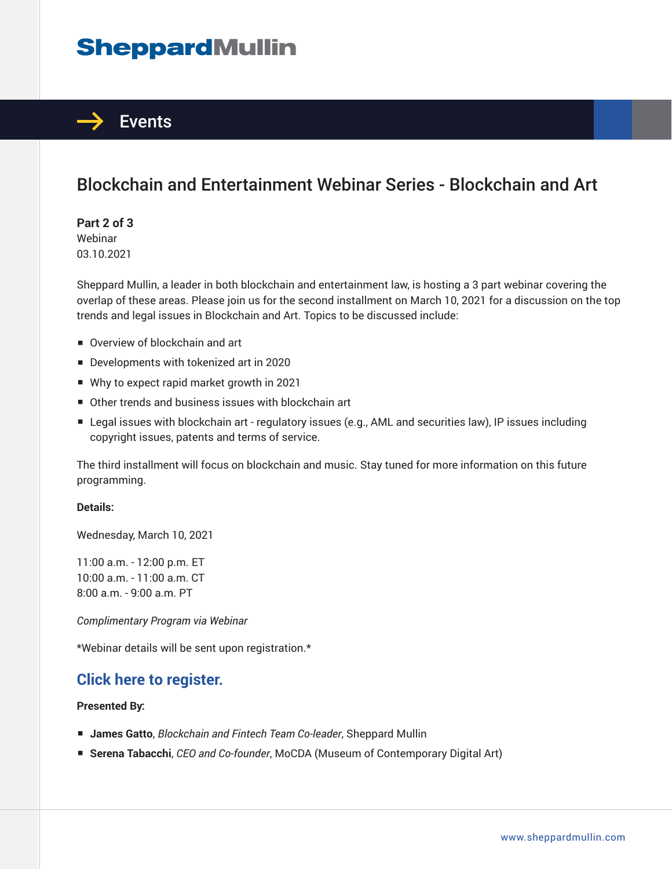# **SheppardMullin**



# Blockchain and Entertainment Webinar Series - Blockchain and Art

**Part 2 of 3** Webinar 03.10.2021

Sheppard Mullin, a leader in both blockchain and entertainment law, is hosting a 3 part webinar covering the overlap of these areas. Please join us for the second installment on March 10, 2021 for a discussion on the top trends and legal issues in Blockchain and Art. Topics to be discussed include:

- Overview of blockchain and art
- Developments with tokenized art in 2020
- Why to expect rapid market growth in 2021
- Other trends and business issues with blockchain art
- Legal issues with blockchain art regulatory issues (e.g., AML and securities law), IP issues including copyright issues, patents and terms of service.

The third installment will focus on blockchain and music. Stay tuned for more information on this future programming.

#### **Details:**

Wednesday, March 10, 2021

11:00 a.m. - 12:00 p.m. ET 10:00 a.m. - 11:00 a.m. CT 8:00 a.m. - 9:00 a.m. PT

*Complimentary Program via Webinar*

\*Webinar details will be sent upon registration.\*

## **Click here to register.**

### **Presented By:**

- **James Gatto**, *Blockchain and Fintech Team Co-leader*, Sheppard Mullin
- **Serena Tabacchi**, *CEO and Co-founder*, MoCDA (Museum of Contemporary Digital Art)